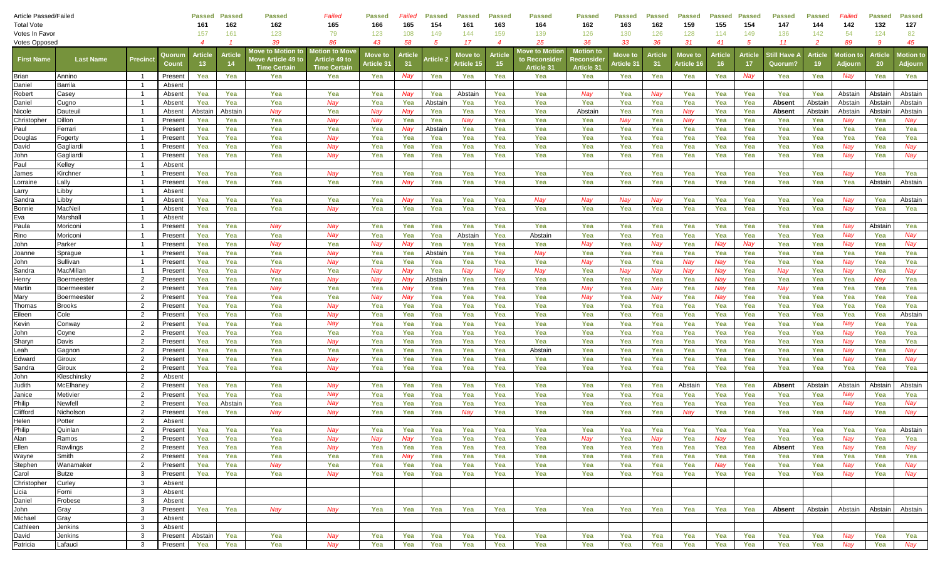| <b>Article Passed/Failed</b> |                    |                          |                 | <b>Passed</b>        | <b>Passed</b>  | <b>Passed</b>                                                          | Failed                                                 | <b>Passed</b>         | Failed        | <b>Passed</b> | <b>Passed</b>         | <b>Passed</b>            | <b>Passed</b>                                 | <b>Passed</b>                                             | <b>Passed</b>                     | Passed              | <b>Passed</b>         | Passed  | <b>Passed</b> | Passed                | <b>Passed</b>        | Failed               | <b>Passed</b>        | Passed                      |
|------------------------------|--------------------|--------------------------|-----------------|----------------------|----------------|------------------------------------------------------------------------|--------------------------------------------------------|-----------------------|---------------|---------------|-----------------------|--------------------------|-----------------------------------------------|-----------------------------------------------------------|-----------------------------------|---------------------|-----------------------|---------|---------------|-----------------------|----------------------|----------------------|----------------------|-----------------------------|
| <b>Total Vote</b>            |                    |                          | 161             | 162                  | 162            | 165                                                                    | 166                                                    | 165                   | 154           | 161           | 163                   | 164                      | 162                                           | 163                                                       | 162                               | 159                 | 155                   | 154     | 147           | 144                   | 142                  | 132                  | 127                  |                             |
| Votes In Favor               |                    |                          |                 | 157                  | 161            | 123                                                                    | 79                                                     | 123                   | 108           | 149           | 144                   | 159                      | 139                                           | 126                                                       | 130                               | 126                 | 128                   | 114     | 149           | 136                   | 142                  | 54                   | 124                  | 82                          |
| <b>Votes Opposed</b>         |                    |                          |                 | $\overline{4}$       |                | 39                                                                     | 86                                                     | 43                    | 58            | 5             | 17                    | $\overline{\mathcal{A}}$ | 25                                            | 36                                                        | 33                                | 36                  | 31                    | 41      | -5            | 11                    | -2                   | 89                   | -9                   | 45                          |
| <b>First Name</b>            | <b>Last Name</b>   | <b>Precinct</b>          | Quorun<br>Count | <b>Article</b><br>13 | Article<br>-14 | Move to Motio <u>n to</u><br>love Article 49 to<br><b>Time Certair</b> | Motion to Move<br>Article 49 to<br><b>Time Certain</b> | Move to<br>Article 31 | Article<br>31 | \rticle :     | Move to<br>Article 15 | <b>Article</b><br>15.    | Move to Motion<br>to Reconsider<br>Article 31 | <b>Motion</b> to<br><b>leconside</b><br><b>Article 31</b> | Move to<br>Article 3 <sup>.</sup> | <b>Articl</b><br>31 | Move to<br>Article 1( | Article | Article<br>17 | ، ill Have<br>Quorum' | <b>Article</b><br>19 | lotion to<br>Adjourn | <b>Article</b><br>20 | <b>lotion</b> to<br>Adjourn |
| Brian                        | Annino             | $\overline{1}$           | Present         | Yea                  | Yea            | Yea                                                                    | Yea                                                    | Yea                   | Nay           | Yea           | Yea                   | Yea                      | Yea                                           | Yea                                                       | Yea                               | Yea                 | Yea                   | Yea     | Nay           | Yea                   | Yea                  | Nay                  | Yea                  | Yea                         |
| Daniel                       | <b>Barrila</b>     | $\overline{1}$           | Absent          |                      |                |                                                                        |                                                        |                       |               |               |                       |                          |                                               |                                                           |                                   |                     |                       |         |               |                       |                      |                      |                      |                             |
| Robert                       | Case <sub>)</sub>  | $\overline{1}$           | Absent          | Yea                  | Yea            | Yea                                                                    | Yea                                                    | Yea                   | Nay           | Yea           | Abstain               | Yea                      | Yea                                           | Nay                                                       | Yea                               | Nay                 | Yea                   | Yea     | Yea           | Yea                   | Yea                  | Abstain              | Abstain              | Abstain                     |
| Daniel                       | Cugno              | $\overline{1}$           | Absent          | Yea                  | Yea            | Yea                                                                    | Nay                                                    | Yea                   | Yea           | Abstair       | Yea                   | Yea                      | Yea                                           | Yea                                                       | Yea                               | Yea                 | Yea                   | Yea     | Yea           | Absent                | Abstain              | Abstain              | Abstain              | Abstain                     |
| Nicole                       | Dauteui            | $\overline{\phantom{0}}$ | Absent          | Abstair              | Abstain        | Nav                                                                    | Yea                                                    | Nav                   | Nay           | Yea           | Yea                   | Yea                      | Yea                                           | Abstair                                                   | Yea                               | Yea                 | Nay                   | Yea     | Yea           | <b>Absent</b>         | Abstain              | Abstain              | Abstai               | Abstain                     |
| Christopher                  | Dillon             | - 1                      | Presen          | Yea                  | Yea            | Yea                                                                    | Nay                                                    | Nay                   | Yea           | Yea           | Nay                   | Yea                      | Yea                                           | Yea                                                       | Nay                               | Yea                 | Nay                   | Yea     | Yea           | Yea                   | Yea                  | Nay                  | Yea                  | Nay                         |
| Paul                         | Ferrari            | $\overline{\phantom{0}}$ | Present         | Yea                  | Yea            | Yea                                                                    | Yea                                                    | Yea                   | Nay           | Abstair       | Yea                   | Yea                      | Yea                                           | Yea                                                       | Yea                               | Yea                 | Yea                   | Yea     | Yea           | Yea                   | Yea                  | Yea                  | Yea                  | Yea                         |
| Douglas                      | Fogerty            | $\overline{1}$           | Present         | Yea                  | Yea            | Yea                                                                    | Nay                                                    | Yea                   | Yea           | Yea           | Yea                   | Yea                      | Yea                                           | Yea                                                       | Yea                               | Yea                 | Yea                   | Yea     | Yea           | Yea                   | Yea                  | Yea                  | Yea                  | Yea                         |
| David                        | Gagliardi          | $\overline{1}$           | Present         | Yea                  | Yea            | Yea                                                                    | Nay                                                    | Yea                   | Yea           | Yea           | Yea                   | Yea                      | Yea                                           | Yea                                                       | Yea                               | Yea                 | Yea                   | Yea     | Yea           | Yea                   | Yea                  | Nav                  | Yea                  | Nay                         |
| John                         | Gagliardi          | $\overline{1}$           | Present         | Yea                  | Yea            | Yea                                                                    | Nay                                                    | Yea                   | Yea           | Yea           | Yea                   | Yea                      | Yea                                           | Yea                                                       | Yea                               | Yea                 | Yea                   | Yea     | Yea           | Yea                   | Yea                  | Nay                  | Yea                  | Nay                         |
| Paul                         | Kelley             | $\overline{1}$           | Absent          |                      |                |                                                                        |                                                        |                       |               |               |                       |                          |                                               |                                                           |                                   |                     |                       |         |               |                       |                      |                      |                      |                             |
| James                        | Kirchne            | - 1                      | Presen          | Yea                  | Yea            | Yea                                                                    | Nay                                                    | Yea                   | Yea           | Yea           | Yea                   | Yea                      | Yea                                           | Yea                                                       | Yea                               | Yea                 | Yea                   | Yea     | Yea           | Yea                   | Yea                  | Nay                  | Yea                  | Yea                         |
| Lorraine                     | Lally              |                          | Present         | Yea                  | Yea            | Yea                                                                    | Yea                                                    | Yea                   | Nay           | Yea           | Yea                   | Yea                      | Yea                                           | Yea                                                       | Yea                               | Yea                 | Yea                   | Yea     | Yea           | Yea                   | Yea                  | Yea                  | Abstain              | Abstain                     |
| Larry                        | Libby              | $\overline{1}$           | Absent          |                      |                |                                                                        |                                                        |                       |               |               |                       |                          |                                               |                                                           |                                   |                     |                       |         |               |                       |                      |                      |                      |                             |
| Sandra                       | Libby              | $\overline{1}$           | Absent          | Yea                  | Yea            | Yea                                                                    | Yea                                                    | Yea                   | Nay           | Yea           | Yea                   | Yea                      | Nay                                           | Nav                                                       | Nay                               | Nav                 | Yea                   | Yea     | Yea           | Yea                   | Yea                  | Nay                  | Yea                  | Abstain                     |
| Bonnie                       | MacNei             | $\overline{1}$           | Absent          | Yea                  | Yea            | Yea                                                                    | Nay                                                    | Yea                   | Yea           | Yea           | Yea                   | Yea                      | Yea                                           | Yea                                                       | Yea                               | Yea                 | Yea                   | Yea     | Yea           | Yea                   | Yea                  | Nay                  | Yea                  | Yea                         |
| Eva                          | Marshall           | $\overline{\phantom{0}}$ | Absent          |                      |                |                                                                        |                                                        |                       |               |               |                       |                          |                                               |                                                           |                                   |                     |                       |         |               |                       |                      |                      |                      |                             |
| Paula                        | Moriconi           | - 1                      | Presen          | Yea                  | Yea            | Nay                                                                    | Nay                                                    | Yea                   | Yea           | Yea           | Yea                   | Yea                      | Yea                                           | Yea                                                       | Yea                               | Yea                 | Yea                   | Yea     | Yea           | Yea                   | Yea                  | Nay                  | Abstain              | Yea                         |
| Rino                         | Moriconi           |                          | Present         | Yea                  | Yea            | Yea                                                                    | Nay                                                    | Yea                   | Yea           | Yea           | Abstain               | Yea                      | Abstain                                       | Yea                                                       | Yea                               | Yea                 | Yea                   | Yea     | Yea           | Yea                   | Yea                  | Nay                  | Yea                  | Nay                         |
| John                         | Parker             | $\overline{1}$           | Present         | Yea                  | Yea            | Nay                                                                    | Yea                                                    | Nay                   | Nay           | Yea           | Yea                   | Yea                      | Yea                                           | Nav                                                       | Yea                               | Nay                 | Yea                   | Nav     | Nay           | Yea                   | Yea                  | Nay                  | Yea                  | Nay                         |
| Joanne                       | Sprague            | $\overline{1}$           | Present         | Yea                  | Yea            | Yea                                                                    | Nay                                                    | Yea                   | Yea           | Abstain       | Yea                   | Yea                      | Nay                                           | Yea                                                       | Yea                               | Yea                 | Yea                   | Yea     | Yea           | Yea                   | Yea                  | Yea                  | Yea                  | Yea                         |
| John                         | Sullivan           | $\overline{1}$           | Present         | Yea                  | Yea            | Yea                                                                    | Nay                                                    | Yea                   | Yea           | Yea           | Yea                   | Yea                      | Yea                                           | Nay                                                       | Yea                               | Yea                 | Nay                   | Nay     | Yea           | Yea                   | Yea                  | Nay                  | Yea                  | Yea                         |
| Sandra                       | MacMillan          | $\overline{1}$           | Presen          | Yea                  | Yea            | Nay                                                                    | Yea                                                    | Nav                   | Nay           | Yea           | Nay                   | Nay                      | Nay                                           | Yea                                                       | Nay                               | Nay                 | Nay                   | Nav     | Yea           | Nay                   | Yea                  | Nay                  | Yea                  | Nay                         |
| Henry                        | <b>Boermeester</b> | $\overline{2}$           | Presen          | Yea                  | Yea            | Yea                                                                    | Nay                                                    | Nav                   | Nay           | Abstair       | Yea                   | Yea                      | Yea                                           | Yea                                                       | Yea                               | Yea                 | Yea                   | Nav     | Yea           | Yea                   | Yea                  | Yea                  | Nav                  | Yea                         |
| Martin                       | Boermeester        | $\overline{2}$           | Present         | Yea                  | Yea            | Nay                                                                    | Yea                                                    | Yea                   | Nay           | Yea           | Yea                   | Yea                      | Yea                                           | Nay                                                       | Yea                               | Nay                 | Yea                   | Nav     | Yea           | Nay                   | Yea                  | Yea                  | Yea                  | Yea                         |
| Mary                         | <b>Boermeester</b> | $\overline{2}$           | Present         | Yea                  | Yea            | Yea                                                                    | Yea                                                    | Nay                   | Nay           | Yea           | Yea                   | Yea                      | Yea                                           | Nav                                                       | Yea                               | Nay                 | Yea                   | Nav     | Yea           | Yea                   | Yea                  | Yea                  | Yea                  | Yea                         |
| Thomas                       | <b>Brooks</b>      | $\overline{2}$           | Present         | Yea                  | Yea            | Yea                                                                    | Nay                                                    | Yea                   | Yea           | Yea           | Yea                   | Yea                      | Yea                                           | Yea                                                       | Yea                               | Yea                 | Yea                   | Yea     | Yea           | Yea                   | Yea                  | Yea                  | Yea                  | Yea                         |
| Eileen                       | Cole               | $\overline{2}$           | Present         | Yea                  | Yea            | Yea                                                                    | Nay                                                    | Yea                   | Yea           | Yea           | Yea                   | Yea                      | Yea                                           | Yea                                                       | Yea                               | Yea                 | Yea                   | Yea     | Yea           | Yea                   | Yea                  | Yea                  | Yea                  | Abstain                     |
| Kevin                        | Conway             | $\overline{2}$           | Present         | Yea                  | Yea            | Yea                                                                    | Nay                                                    | Yea                   | Yea           | Yea           | Yea                   | Yea                      | Yea                                           | Yea                                                       | Yea                               | Yea                 | Yea                   | Yea     | Yea           | Yea                   | Yea                  | Nay                  | Yea                  | Yea                         |
| John                         | Coyne              | $\overline{2}$           | Presen          | Yea                  | Yea            | Yea                                                                    | Yea                                                    | Yea                   | Yea           | Yea           | Yea                   | Yea                      | Yea                                           | Yea                                                       | Yea                               | Yea                 | Yea                   | Yea     | Yea           | Yea                   | Yea                  | Nay                  | Yea                  | Yea                         |
| Sharyn                       | Davis              | $\overline{2}$           | Present         | Yea                  | Yea            | Yea                                                                    | Nay                                                    | Yea                   | Yea           | Yea           | Yea                   | Yea                      | Yea                                           | Yea                                                       | Yea                               | Yea                 | Yea                   | Yea     | Yea           | Yea                   | Yea                  | Nay                  | Yea                  | Yea                         |
| Leah                         | Gagnon             | $\overline{2}$           | Present         | Yea                  | Yea            | Yea                                                                    | Yea                                                    | Yea                   | Yea           | Yea           | Yea                   | Yea                      | Abstain                                       | Yea                                                       | Yea                               | Yea                 | Yea                   | Yea     | Yea           | Yea                   | Yea                  | Nay                  | Yea                  | Nay                         |
| Edward                       | Giroux             | $\overline{2}$           | Present         | Yea                  | Yea            | Yea                                                                    | Nay                                                    | Yea                   | Yea           | Yea           | Yea                   | Yea                      | Yea                                           | Yea                                                       | Yea                               | Yea                 | Yea                   | Yea     | Yea           | Yea                   | Yea                  | Nay                  | Yea                  | Nay                         |
| Sandra                       | Giroux             | $\overline{2}$           | Present         | Yea                  | Yea            | Yea                                                                    | Nay                                                    | Yea                   | Yea           | Yea           | Yea                   | Yea                      | Yea                                           | Yea                                                       | Yea                               | Yea                 | Yea                   | Yea     | Yea           | Yea                   | Yea                  | Yea                  | Yea                  | Yea                         |
| John                         | Kleschinsky        | $\overline{2}$           | Absent          |                      |                |                                                                        |                                                        |                       |               |               |                       |                          |                                               |                                                           |                                   |                     |                       |         |               |                       |                      |                      |                      |                             |
| Judith                       | <b>McElhane</b>    | $\overline{2}$           | Present         | Yea                  | Yea            | Yea                                                                    | Nay                                                    | Yea                   | Yea           | Yea           | Yea                   | Yea                      | Yea                                           | Yea                                                       | Yea                               | Yea                 | Abstain               | Yea     | Yea           | <b>Absent</b>         | Abstain              | Abstain              | Abstai               | Abstain                     |
| Janice                       | Metivier           | $\overline{2}$           | Presen          | Yea                  | Yea            | Yea                                                                    | Nay                                                    | Yea                   | Yea           | Yea           | Yea                   | Yea                      | Yea                                           | Yea                                                       | Yea                               | Yea                 | Yea                   | Yea     | Yea           | Yea                   | Yea                  | Nay                  | Yea                  | Yea                         |
| Philip                       | Newfell            | $\overline{2}$           | Present         | Yea                  | Abstain        | Yea                                                                    | Nay                                                    | Yea                   | Yea           | Yea           | Yea                   | Yea                      | Yea                                           | Yea                                                       | Yea                               | Yea                 | Yea                   | Yea     | Yea           | Yea                   | Yea                  | Nay                  | Yea                  | Nay                         |
| Clifford                     | Nicholson          | 2                        | Present         | Yea                  | Yea            | Nay                                                                    | Nay                                                    | Yea                   | Yea           | Yea           | Nay                   | Yea                      | Yea                                           | Yea                                                       | Yea                               | Yea                 | Nay                   | Yea     | Yea           | Yea                   | Yea                  | Nay                  | Yea                  | Nay                         |
| Helen                        | Potter             | $\overline{2}$           | Absent          |                      |                |                                                                        |                                                        |                       |               |               |                       |                          |                                               |                                                           |                                   |                     |                       |         |               |                       |                      |                      |                      |                             |
| Philip                       | Quinlan            | $\overline{2}$           | Present         | Yea                  | Yea            | Yea                                                                    | Nay                                                    | Yea                   | Yea           | Yea           | Yea                   | Yea                      | Yea                                           | Yea                                                       | Yea                               | Yea                 | Yea                   | Yea     | Yea           | Yea                   | Yea                  | Yea                  | Yea                  | Abstain                     |
| Alan                         | Ramos              | 2                        | Present         | Yea                  | Yea            | Yea                                                                    | Nay                                                    | Nay                   | Nay           | Yea           | Yea                   | Yea                      | Yea                                           | Nay                                                       | Yea                               | Nay                 | Yea                   | Nay     | Yea           | Yea                   | Yea                  | Nay                  | Yea                  | Yea                         |
| Ellen                        | Rawlings           | $\overline{2}$           | Present         | Yea                  | Yea            | Yea                                                                    | Nay                                                    | Yea                   | Yea           | Yea           | Yea                   | Yea                      | Yea                                           | Yea                                                       | Yea                               | Yea                 | Yea                   | Yea     | Yea           | <b>Absent</b>         | Yea                  | Nay                  | Yea                  | Nay                         |
| Wayne                        | Smith              | $\overline{2}$           | Present         | Yea                  | Yea            | Yea                                                                    | Yea                                                    | Yea                   | Nay           | Yea           | Yea                   | Yea                      | Yea                                           | Yea                                                       | Yea                               | Yea                 | Yea                   | Yea     | Yea           | Yea                   | Yea                  | Yea                  | Yea                  | Yea                         |
| Stephen                      | Wanamaker          | $\overline{2}$           | Present         | Yea                  | Yea            | Nay                                                                    | Yea                                                    | Yea                   | Yea           | Yea           | Yea                   | Yea                      | Yea                                           | Yea                                                       | Yea                               | Yea                 | Yea                   | Nay     | Yea           | Yea                   | Yea                  | Nay                  | Yea                  | Nay                         |
| Carol                        | <b>Butze</b>       | 3                        | Present         | Yea                  | Yea            | Yea                                                                    | Nay                                                    | Yea                   | Yea           | Yea           | Yea                   | Yea                      | Yea                                           | Yea                                                       | Yea                               | Yea                 | Yea                   | Yea     | Yea           | Yea                   | Yea                  | Nay                  | Yea                  | Nay                         |
| Christopher                  | Curley             | 3                        | Absent          |                      |                |                                                                        |                                                        |                       |               |               |                       |                          |                                               |                                                           |                                   |                     |                       |         |               |                       |                      |                      |                      |                             |
| Licia                        | Forni              | 3                        | Absent          |                      |                |                                                                        |                                                        |                       |               |               |                       |                          |                                               |                                                           |                                   |                     |                       |         |               |                       |                      |                      |                      |                             |
| Daniel                       | Frobese            | 3                        | Absent          |                      |                |                                                                        |                                                        |                       |               |               |                       |                          |                                               |                                                           |                                   |                     |                       |         |               |                       |                      |                      |                      |                             |
| John                         | Gray               | 3                        | Present         | Yea                  | Yea            | Nay                                                                    | Nay                                                    | Yea                   | Yea           | Yea           | Yea                   | Yea                      | Yea                                           | Yea                                                       | Yea                               | Yea                 | Yea                   | Yea     | Yea           | Absent                | Abstain              | Abstain              | Abstain              | Abstain                     |
| Michael                      | Gray               | 3                        | Absent          |                      |                |                                                                        |                                                        |                       |               |               |                       |                          |                                               |                                                           |                                   |                     |                       |         |               |                       |                      |                      |                      |                             |
| Cathleen                     | Jenkins            | $\mathbf{3}$             | Absent          |                      |                |                                                                        |                                                        |                       |               |               |                       |                          |                                               |                                                           |                                   |                     |                       |         |               |                       |                      |                      |                      |                             |
| David                        | Jenkins            | 3                        | Present         | Abstain              | Yea            | Yea                                                                    | Nay                                                    | Yea                   | Yea           | Yea           | Yea                   | Yea                      | Yea                                           | Yea                                                       | Yea                               | Yea                 | Yea                   | Yea     | Yea           | Yea                   | Yea                  | Nay                  | Yea                  | Yea                         |
| Patricia                     | Lafauci            | 3                        | Present         | Yea                  | Yea            | Yea                                                                    | Nay                                                    | Yea                   | Yea           | Yea           | Yea                   | Yea                      | Yea                                           | Yea                                                       | Yea                               | Yea                 | Yea                   | Yea     | Yea           | Yea                   | Yea                  | Nay                  | Yea                  | Nay                         |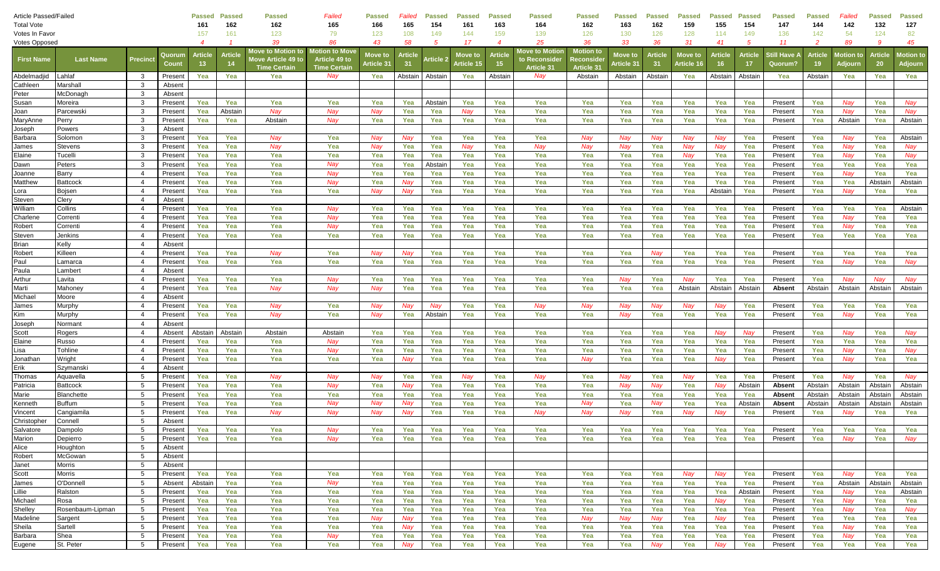| Article Passed/Failed |                               |                         |                    | Passed        | <b>Passed</b> | Passed                                                                | Failed                                                              | Passed                | Failed        | <b>Passed</b> | <b>Passed</b>         | <b>Passed</b>         | <b>Passed</b>                                        | Passed                                                    | <b>Passed</b>         | <b>Passed</b>        | <b>Passed</b>         | Passed               | <b>Passec</b>  | Passed                         | <b>Passed</b>         | Failed                      | <b>Passed</b>     | Passed                      |
|-----------------------|-------------------------------|-------------------------|--------------------|---------------|---------------|-----------------------------------------------------------------------|---------------------------------------------------------------------|-----------------------|---------------|---------------|-----------------------|-----------------------|------------------------------------------------------|-----------------------------------------------------------|-----------------------|----------------------|-----------------------|----------------------|----------------|--------------------------------|-----------------------|-----------------------------|-------------------|-----------------------------|
| <b>Total Vote</b>     |                               |                         | 161                | 162           | 162           | 165                                                                   | 166                                                                 | 165                   | 154           | 161           | 163                   | 164                   | 162                                                  | 163                                                       | 162                   | 159                  | 155                   | 154                  | 147            | 144                            | 142                   | 132                         | 127               |                             |
| Votes In Favor        |                               |                         |                    | 157           | 161           | 123                                                                   | 79                                                                  | 123                   | 108           | 149           | 144                   | 159                   | 139                                                  | 126                                                       | 130                   | 126                  | 128                   | 114                  | 149            | 136                            | 142                   | 54                          | 124               | 82                          |
| <b>Votes Opposed</b>  |                               |                         |                    |               |               | 39                                                                    | 86                                                                  | 43                    | 58            | 5             | 17                    | $\boldsymbol{4}$      | 25                                                   | 36                                                        | 33                    | 36                   | 31                    | 41                   | -5             | 11                             | $\overline{2}$        | 89                          | 9                 | 45                          |
| <b>First Name</b>     | <b>Last Name</b>              | <b>Precinc</b>          | Quorun<br>Count    | Article<br>13 | Article<br>14 | Move to Motion to<br><b>Nove Article 49 to</b><br><b>Time Certain</b> | <b>Motion to Mov</b><br><b>Article 49 to</b><br><b>Time Certain</b> | Move to<br>Article 31 | Article<br>31 | Article :     | Move to<br>Article 15 | <b>Article</b><br>-15 | <b>Move to Motion</b><br>to Reconsideı<br>Article 31 | <b>Motion</b> to<br><b>leconside</b><br><b>Article 31</b> | Move to<br>Article 3′ | <b>Article</b><br>31 | Move to<br>Article 16 | <b>Article</b><br>16 | Article<br>17  | }till Have <i>l</i><br>Quorum? | <b>Article</b><br>-19 | <b>Notion to</b><br>Adjourn | Article<br>20     | <b>lotion</b> to<br>Adjourn |
| Abdelmadjid           | Lahlaf                        | $\overline{\mathbf{3}}$ | Present            | Yea           | Yea           | Yea                                                                   | Nay                                                                 | Yea                   | Abstain       | Abstain       | Yea                   | Abstain               | Nay                                                  | Abstain                                                   | Abstain               | Abstain              | Yea                   | Abstain              | Abstain        | Yea                            | Abstain               | Yea                         | Yea               | Yea                         |
| Cathleen              | Marshall                      | 3                       | Absent             |               |               |                                                                       |                                                                     |                       |               |               |                       |                       |                                                      |                                                           |                       |                      |                       |                      |                |                                |                       |                             |                   |                             |
| Peter                 | McDonagh                      | 3                       | Absent             |               |               |                                                                       |                                                                     |                       |               |               |                       |                       |                                                      |                                                           |                       |                      |                       |                      |                |                                |                       |                             |                   |                             |
| Susan                 | Moreira                       | 3                       | Present            | Yea           | Yea           | Yea                                                                   | Yea                                                                 | Yea                   | Yea           | Abstain       | Yea                   | Yea                   | Yea                                                  | Yea                                                       | Yea                   | Yea                  | Yea                   | Yea                  | Yea            | Present                        | Yea                   | Nay                         | Yea               | Nay                         |
| Joan                  | Parcewski                     | 3                       | Present            | Yea           | Abstain       | Nay                                                                   | Nay                                                                 | Nav                   | Yea           | Yea           | Nay                   | Yea                   | Yea                                                  | Yea                                                       | Yea                   | Yea                  | Yea                   | Yea                  | Yea            | Present                        | Yea                   | Nav                         | Yea               | Nav                         |
| MaryAnne              | Perry                         | 3                       | Present            | Yea           | Yea           | Abstain                                                               | Nay                                                                 | Yea                   | Yea           | Yea           | Yea                   | Yea                   | Yea                                                  | Yea                                                       | Yea                   | Yea                  | Yea                   | Yea                  | Yea            | Present                        | Yea                   | Abstain                     | Yea               | Abstain                     |
| Joseph                | Powers                        | -3                      | Absent             |               |               |                                                                       |                                                                     |                       |               |               |                       |                       |                                                      |                                                           |                       |                      |                       |                      |                |                                |                       |                             |                   |                             |
| Barbara               | Solomon                       | 3                       | Present            | Yea           | Yea           | Nay                                                                   | Yea                                                                 | Nav                   | Nay           | Yea           | Yea                   | Yea                   | Yea                                                  | Nay                                                       | Nay                   | Nay                  | Nay                   | Nav                  | Yea            | Present                        | Yea                   | Nay                         | Yea               | Abstain                     |
| James                 | Stevens                       | $\mathbf{3}$            | Present            | Yea           | Yea           | Nay                                                                   | Yea                                                                 | Nav                   | Yea           | Yea           | Nay                   | Yea                   | Nay                                                  | Nay                                                       | Nay                   | Yea                  | Nay                   | Nav                  | Yea            | Present                        | Yea                   | Nay                         | Yea               | Nay                         |
| Elaine                | Tucelli                       | -3                      | Present            | Yea           | Yea           | Yea                                                                   | Yea                                                                 | Yea                   | Yea           | Yea           | Yea                   | Yea                   | Yea                                                  | Yea                                                       | Yea                   | Yea                  | Nay                   | Yea                  | Yea            | Present                        | Yea                   | Nay                         | Yea               | Nay                         |
| Dawn                  | Peters                        | 3                       | Present            | Yea           | Yea           | Yea                                                                   | Nay                                                                 | Yea                   | Yea           | Abstain       | Yea                   | Yea                   | Yea                                                  | Yea                                                       | Yea                   | Yea                  | Yea                   | Yea                  | Yea            | Present                        | Yea                   | Yea                         | Yea               | Yea                         |
| Joanne                | Barry                         | $\overline{4}$          | Presen             | Yea           | Yea           | Yea                                                                   | Nay                                                                 | Yea                   | Yea           | Yea           | Yea                   | Yea                   | Yea                                                  | Yea                                                       | Yea                   | Yea                  | Yea                   | Yea                  | Yea            | Present                        | Yea                   | Nay                         | Yea               | Yea                         |
| Matthew               | <b>Battcock</b>               | $\overline{4}$          | Present            | Yea           | Yea           | Yea                                                                   | Nay                                                                 | Yea                   | Nay           | Yea           | Yea                   | Yea                   | Yea                                                  | Yea                                                       | Yea                   | Yea                  | Yea                   | Yea                  | Yea            | Present                        | Yea                   | Yea                         | Abstair           | Abstain                     |
| Lora                  | Bojsen                        | - 4<br>$\overline{4}$   | Present            | Yea           | Yea           | Yea                                                                   | Yea                                                                 | Nay                   | Nay           | Yea           | Yea                   | Yea                   | Yea                                                  | Yea                                                       | Yea                   | Yea                  | Yea                   | Abstain              | Yea            | Present                        | Yea                   | Nay                         | Yea               | Yea                         |
| Steven<br>William     | Clery<br>Collins              | $\overline{4}$          | Absent<br>Present  | Yea           | Yea           | Yea                                                                   | Nay                                                                 | Yea                   | Yea           | Yea           | Yea                   | Yea                   | Yea                                                  | Yea                                                       | Yea                   | Yea                  | Yea                   | Yea                  | Yea            | Present                        | Yea                   | Yea                         | Yea               | Abstain                     |
| Charlene              | Correnti                      | $\overline{4}$          | Present            | Yea           | Yea           | Yea                                                                   | Nay                                                                 | Yea                   | Yea           | Yea           | Yea                   | Yea                   | Yea                                                  | Yea                                                       | Yea                   | Yea                  | Yea                   | Yea                  | Yea            | Present                        | Yea                   | Nay                         | Yea               | Yea                         |
| Robert                | Correnti                      | $\overline{4}$          | Present            | Yea           | Yea           | Yea                                                                   | Nay                                                                 | Yea                   | Yea           | Yea           | Yea                   | Yea                   | Yea                                                  | Yea                                                       | Yea                   | Yea                  | Yea                   | Yea                  | Yea            | Present                        | Yea                   | Nay                         | Yea               | Yea                         |
| Steven                | Jenkins                       | $\overline{\mathbf{4}}$ | Present            | Yea           | Yea           | Yea                                                                   | Yea                                                                 | Yea                   | Yea           | Yea           | Yea                   | Yea                   | Yea                                                  | Yea                                                       | Yea                   | Yea                  | Yea                   | Yea                  | Yea            | Present                        | Yea                   | Yea                         | Yea               | Yea                         |
| Brian                 | Kelly                         | - 4                     | Absent             |               |               |                                                                       |                                                                     |                       |               |               |                       |                       |                                                      |                                                           |                       |                      |                       |                      |                |                                |                       |                             |                   |                             |
| Robert                | Killeen                       | $\overline{4}$          | Present            | Yea           | Yea           | Nay                                                                   | Yea                                                                 | Nay                   | Nay           | Yea           | Yea                   | Yea                   | Yea                                                  | Yea                                                       | Yea                   | Nay                  | Yea                   | Yea                  | Yea            | Present                        | Yea                   | Yea                         | Yea               | Yea                         |
| Paul                  | Lamarca                       | $\overline{4}$          | Present            | Yea           | Yea           | Yea                                                                   | Yea                                                                 | Yea                   | Yea           | Yea           | Yea                   | Yea                   | Yea                                                  | Yea                                                       | Yea                   | Yea                  | Yea                   | Yea                  | Yea            | Present                        | Yea                   | Nay                         | Yea               | Nay                         |
| Paula                 | _ambert                       | $\overline{4}$          | Absen              |               |               |                                                                       |                                                                     |                       |               |               |                       |                       |                                                      |                                                           |                       |                      |                       |                      |                |                                |                       |                             |                   |                             |
| Arthur                | _avita                        | $\overline{4}$          | Present            | Yea           | Yea           | Yea                                                                   | Nay                                                                 | Yea                   | Yea           | Yea           | Yea                   | Yea                   | Yea                                                  | Yea                                                       | Nay                   | Yea                  | Nav                   | Yea                  | Yea            | Present                        | Yea                   | Nay                         | Nav               | Nay                         |
| Marti                 | Mahoney                       | $\overline{4}$          | Present            | Yea           | Yea           | Nay                                                                   | Nay                                                                 | Nav                   | Yea           | Yea           | Yea                   | Yea                   | Yea                                                  | Yea                                                       | Yea                   | Yea                  | Abstain               | Abstain              | Abstain        | Absent                         | Abstain               | Abstain                     | Abstain           | Abstain                     |
| Michael               | Moore                         | -4                      | Absent             |               |               |                                                                       |                                                                     |                       |               |               |                       |                       |                                                      |                                                           |                       |                      |                       |                      |                |                                |                       |                             |                   |                             |
| James                 | Murphy                        | - 4                     | Present            | Yea           | Yea           | Nay                                                                   | Yea                                                                 | Nav                   | Nay           | Nay           | Yea                   | Yea                   | Nay                                                  | Nay                                                       | Nay                   | Nay                  | Nay                   | Nav                  | Yea            | Present                        | Yea                   | Yea                         | Yea               | Yea                         |
| Kim                   | Murphy                        | $\overline{4}$          | Present            | Yea           | Yea           | Nay                                                                   | Yea                                                                 | Nay                   | Yea           | Abstain       | Yea                   | Yea                   | Yea                                                  | Yea                                                       | Nay                   | Yea                  | Yea                   | Yea                  | Yea            | Present                        | Yea                   | Nay                         | Yea               | Yea                         |
| Joseph                | Normant                       | $\overline{\mathbf{4}}$ | Absent             |               |               |                                                                       |                                                                     |                       |               |               |                       |                       |                                                      |                                                           |                       |                      |                       |                      |                |                                |                       |                             |                   |                             |
| Scott                 | Rogers                        | - 4                     | Absent             | Abstain       | Abstain       | Abstain                                                               | Abstain                                                             | Yea                   | Yea           | Yea           | Yea                   | Yea                   | Yea                                                  | Yea                                                       | Yea                   | Yea                  | Yea                   | Nay                  | Nay            | Present                        | Yea                   | Nay                         | Yea               | Nay                         |
| Elaine                | Russo                         | $\overline{\mathbf{4}}$ | Present            | Yea           | Yea           | Yea                                                                   | Nay                                                                 | Yea                   | Yea           | Yea           | Yea                   | Yea                   | Yea                                                  | Yea                                                       | Yea                   | Yea                  | Yea                   | Yea                  | Yea            | Present                        | Yea                   | Yea                         | Yea               | Yea                         |
| Lisa                  | Tohline                       | $\overline{\mathbf{4}}$ | Present            | Yea           | Yea           | Yea                                                                   | Nay                                                                 | Yea                   | Yea           | Yea           | Yea                   | Yea                   | Yea                                                  | Yea                                                       | Yea                   | Yea                  | Yea                   | Yea                  | Yea            | Present                        | Yea                   | Nay                         | Yea               | Nay                         |
| Jonathan              | Wright                        | $\overline{4}$          | Present            | Yea           | Yea           | Yea                                                                   | Yea                                                                 | Yea                   | Nay           | Yea           | Yea                   | Yea                   | Yea                                                  | Nay                                                       | Yea                   | Yea                  | Yea                   | Nay                  | Yea            | Present                        | Yea                   | Nay                         | Yea               | Yea                         |
| Erik                  | Szymansk                      | $\overline{4}$          | Absent             |               |               |                                                                       |                                                                     |                       |               |               |                       |                       |                                                      |                                                           |                       |                      |                       |                      |                |                                |                       |                             |                   |                             |
| Thomas                | Aquavella                     | 5                       | Present            | Yea           | Yea           | Nay                                                                   | Nay                                                                 | Nay                   | Yea           | Yea           | Nay                   | Yea                   | Nay                                                  | Yea                                                       | Nay                   | Yea                  | Nay                   | Yea                  | Yea            | Present                        | Yea                   | Nay                         | Yea               | Nay                         |
| Patricia<br>Marie     | <b>Battcock</b><br>Blanchette | 5<br>5                  | Present<br>Present | Yea<br>Yea    | Yea<br>Yea    | Yea<br>Yea                                                            | Nay<br>Yea                                                          | Yea<br>Yea            | Nav<br>Yea    | Yea<br>Yea    | Yea<br>Yea            | Yea<br>Yea            | Yea<br>Yea                                           | Yea<br>Yea                                                | Nav<br>Yea            | Nay<br>Yea           | Yea<br>Yea            | Nav<br>Yea           | Abstain<br>Yea | Absent<br>Absent               | Abstain<br>Abstain    | Abstain<br>Abstain          | Abstain<br>Abstai | Abstain<br>Abstain          |
| Kenneth               | <b>Buffum</b>                 | 5                       | Presen             | Yea           | Yea           | Yea                                                                   | Nay                                                                 | Nav                   | Nay           | Yea           | Yea                   | Yea                   | Yea                                                  | Nay                                                       | Yea                   | Nay                  | Yea                   | Yea                  | Abstain        | <b>Absent</b>                  | Abstain               | Abstain                     | Abstair           | Abstain                     |
| /incent               | Cangiamila                    | 5                       | Present            | Yea           | Yea           | Nay                                                                   | Nay                                                                 | Nay                   | Nay           | Yea           | Yea                   | Yea                   | Nay                                                  | Nay                                                       | Nay                   | Yea                  | Nay                   | Nav                  | Yea            | Present                        | Yea                   | Nay                         | Yea               | Yea                         |
| Christopher           | Connell                       | 5                       | Absent             |               |               |                                                                       |                                                                     |                       |               |               |                       |                       |                                                      |                                                           |                       |                      |                       |                      |                |                                |                       |                             |                   |                             |
| Salvatore             | Dampolo                       | 5                       | Present            | Yea           | Yea           | Yea                                                                   | Nav                                                                 | Yea                   | Yea           | Yea           | Yea                   | Yea                   | Yea                                                  | Yea                                                       | Yea                   | Yea                  | Yea                   | Yea                  | Yea            | Present                        | Yea                   | Yea                         | Yea               | Yea                         |
| Marion                | Depierro                      | 5                       | Present            | Yea           | Yea           | Yea                                                                   | Nay                                                                 | Yea                   | Yea           | Yea           | Yea                   | Yea                   | Yea                                                  | Yea                                                       | Yea                   | Yea                  | Yea                   | Yea                  | Yea            | Present                        | Yea                   | Nay                         | Yea               | Nay                         |
| Alice                 | Houghton                      | 5                       | Absent             |               |               |                                                                       |                                                                     |                       |               |               |                       |                       |                                                      |                                                           |                       |                      |                       |                      |                |                                |                       |                             |                   |                             |
| Robert                | McGowan                       | 5                       | Absent             |               |               |                                                                       |                                                                     |                       |               |               |                       |                       |                                                      |                                                           |                       |                      |                       |                      |                |                                |                       |                             |                   |                             |
| Janet                 | Morris                        | 5                       | Absent             |               |               |                                                                       |                                                                     |                       |               |               |                       |                       |                                                      |                                                           |                       |                      |                       |                      |                |                                |                       |                             |                   |                             |
| Scott                 | Morris                        | 5                       | Present            | Yea           | Yea           | Yea                                                                   | Yea                                                                 | Yea                   | Yea           | Yea           | Yea                   | Yea                   | Yea                                                  | Yea                                                       | Yea                   | Yea                  | Nay                   | Nav                  | Yea            | Present                        | Yea                   | Nav                         | Yea               | Yea                         |
| James                 | O'Donnell                     | 5                       | Absent             | Abstain       | Yea           | Yea                                                                   | Nay                                                                 | Yea                   | Yea           | Yea           | Yea                   | Yea                   | Yea                                                  | Yea                                                       | Yea                   | Yea                  | Yea                   | Yea                  | Yea            | Present                        | Yea                   | Abstain                     | Abstain           | Abstain                     |
| Lillie                | Ralston                       | 5                       | Present            | Yea           | Yea           | Yea                                                                   | Yea                                                                 | Yea                   | Yea           | Yea           | Yea                   | Yea                   | Yea                                                  | Yea                                                       | Yea                   | Yea                  | Yea                   | Yea                  | Abstain        | Present                        | Yea                   | Nay                         | Yea               | Abstain                     |
| Michael               | Rosa                          | 5                       | Present            | Yea           | Yea           | Yea                                                                   | Yea                                                                 | Yea                   | Yea           | Yea           | Yea                   | Yea                   | Yea                                                  | Yea                                                       | Yea                   | Yea                  | Yea                   | Nay                  | Yea            | Present                        | Yea                   | Nay                         | Yea               | Yea                         |
| Shelley               | Rosenbaum-Lipman              | 5                       | Present            | Yea           | Yea           | Yea                                                                   | Yea                                                                 | Yea                   | Yea           | Yea           | Yea                   | Yea                   | Yea                                                  | Yea                                                       | Yea                   | Yea                  | Yea                   | Yea                  | Yea            | Present                        | Yea                   | Nay                         | Yea               | Nay                         |
| Madeline              | Sargent                       | 5                       | Present            | Yea           | Yea           | Yea                                                                   | Yea                                                                 | Nay                   | Nay           | Yea           | Yea                   | Yea                   | Yea                                                  | Nay                                                       | Nay                   | Nay                  | Yea                   | Nay                  | Yea            | Present                        | Yea                   | Yea                         | Yea               | Yea                         |
| Sheila                | Sartell                       | 5                       | Present            | Yea           | Yea           | Yea                                                                   | Yea                                                                 | Yea                   | Nay           | Yea           | Yea                   | Yea                   | Yea                                                  | Yea                                                       | Yea                   | Yea                  | Yea                   | Yea                  | Yea            | Present                        | Yea                   | Nay                         | Yea               | Yea                         |
| Barbara               | Shea                          | 5                       | Present            | Yea           | Yea           | Yea                                                                   | Nay                                                                 | Yea                   | Yea           | Yea           | Yea                   | Yea                   | Yea                                                  | Yea                                                       | Yea                   | Yea                  | Yea                   | Yea                  | Yea            | Present                        | Yea                   | Nay                         | Yea               | Yea                         |
| Eugene                | St. Peter                     | 5                       | Present            | Yea           | Yea           | Yea                                                                   | Yea                                                                 | Yea                   | Nay           | Yea           | Yea                   | Yea                   | Yea                                                  | Yea                                                       | Yea                   | Nay                  | Yea                   | Nay                  | Yea            | Present                        | Yea                   | Yea                         | Yea               | Yea                         |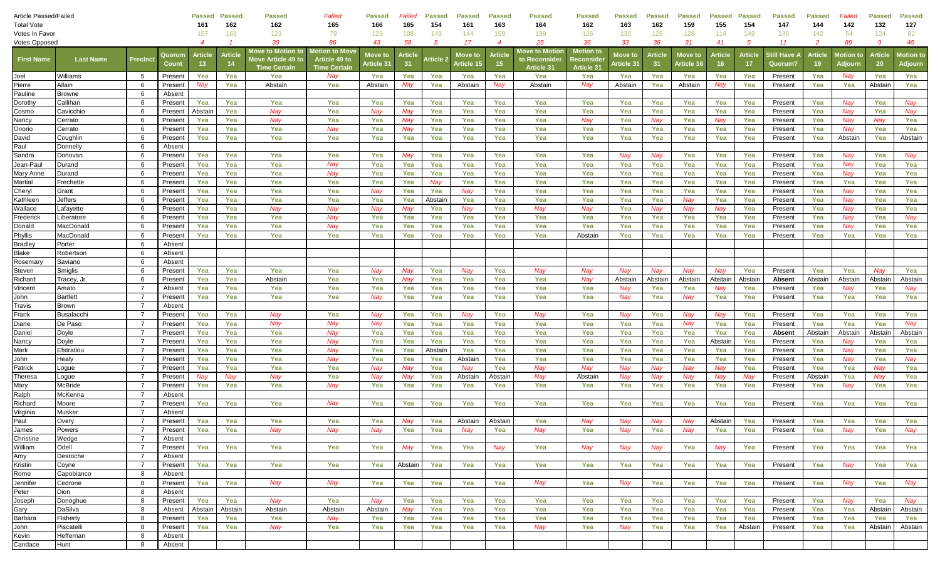| <b>Article Passed/Failed</b> |                    |                |                   | <b>Passed</b>    | <b>Passed</b>  | Passed                          | Failed               | <b>Passed</b> | Failed  | <b>Passed</b>    | <b>Passed</b> | <b>Passed</b>  | <b>Passed</b>  | <b>Passed</b>     | <b>Passed</b> | <b>Passed</b> | <b>Passed</b> | <b>Passed</b> | <b>Passed</b> | Passed              | <b>Passed</b>  | Failed           | <b>Passed</b>  | Passed    |
|------------------------------|--------------------|----------------|-------------------|------------------|----------------|---------------------------------|----------------------|---------------|---------|------------------|---------------|----------------|----------------|-------------------|---------------|---------------|---------------|---------------|---------------|---------------------|----------------|------------------|----------------|-----------|
| <b>Total Vote</b>            |                    | 161            | 162               | 162              | 165            | 166                             | 165                  | 154           | 161     | 163              | 164           | 162            | 163            | 162               | 159           | 155           | 154           | 147           | 144           | 142                 | 132            | 127              |                |           |
| Votes In Favor               |                    |                |                   | 157              | 161            | 123                             | 79                   | 123           | 108     | 149              | 144           | 159            | 139            | 126               | 130           | 126           | 128           | 114           | 149           | 136                 | 142            | 54               | 124            | 82        |
| <b>Votes Opposed</b>         |                    |                |                   | $\boldsymbol{4}$ |                | 39                              | 86                   | 43            | 58      | 5                | 17            | $\overline{4}$ | 25             | 36                | 33            | 36            | 31            | 41            | -5            | 11                  | -2             | 89               | -9             | 45        |
|                              |                    |                | Quorun            | <b>Article</b>   | <b>Article</b> | <b>Nove to Motio<u>n to</u></b> | Motion to Move       | Move to       | Article |                  | Move to       | <b>Article</b> | Move to Motion | <b>Motion</b> to  | Move to       | <b>Articl</b> | Move to       | Article       | Article       | itill Have <i>l</i> | <b>Article</b> | <b>Motion</b> to | <b>Article</b> | lotion to |
| <b>First Name</b>            | <b>Last Name</b>   | Precinct       | Coun              | 13 <sup>°</sup>  | -14            | love Article 49 to              | <b>Article 49 to</b> | Article 31    | 31      | <b>\rticle</b> : | Article 15    | 15.            | to Reconsider  | <b>Reconside</b>  | Article 3′    | 31            | Article 16    | -16           | 17            | Quorum'             | -19            | Adjourn          | 20             | Adjourn   |
|                              |                    |                |                   |                  |                | <b>Time Certair</b>             | <b>Time Certair</b>  |               |         |                  |               |                | Article 31     | <b>Article 31</b> |               |               |               |               |               |                     |                |                  |                |           |
| Joel                         | Williams           | 5              | Present           | Yea              | Yea            | Yea                             | Nay                  | Yea           | Yea     | Yea              | Yea           | Yea            | Yea            | Yea               | Yea           | Yea           | Yea           | Yea           | Yea           | Present             | Yea            | Nay              | Yea            | Yea       |
| Pierre                       | Allain             | 6<br>-6        | Present           | Nay              | Yea            | Abstain                         | Yea                  | Abstain       | Nay     | Yea              | Abstain       | Nay            | Abstain        | Nay               | Abstain       | Yea           | Abstain       | Nay           | Yea           | Present             | Yea            | Yea              | Abstain        | Yea       |
| Pauline                      | Browne<br>Callihan | 6              | Absent            | Yea              | Yea            | Yea                             | Yea                  | Yea           | Yea     | Yea              | Yea           | Yea            | Yea            | Yea               | Yea           | Yea           | Yea           | Yea           | Yea           | Present             | Yea            | Nav              | Yea            | Nay       |
| Dorothy<br>Cosmo             | Cavicchio          | -6             | Presen<br>Present | Abstain          | Yea            | Nav                             | Yea                  | Nav           | Nay     | Yea              | Yea           | Yea            | Yea            | Yea               | Yea           | Yea           | Yea           | Yea           | Yea           | Present             | Yea            | Nay              | Yea            | Nay       |
| Nancy                        | Cerrato            | 6              | Presen            | Yea              | Yea            | Nay                             | Yea                  | Yea           | Nay     | Yea              | Yea           | Yea            | Yea            | Nay               | Yea           | Nay           | Yea           | Nay           | Yea           | Present             | Yea            | Nay              | Nay            | Yea       |
| Onorio                       | Cerrato            | -6             | Present           | Yea              | Yea            | Yea                             | Nay                  | Yea           | Nay     | Yea              | Yea           | Yea            | Yea            | Yea               | Yea           | Yea           | Yea           | Yea           | Yea           | Present             | Yea            | Nay              | Yea            | Yea       |
| David                        | Coughlin           | -6             | Present           | Yea              | Yea            | Yea                             | Yea                  | Yea           | Yea     | Yea              | Yea           | Yea            | Yea            | Yea               | Yea           | Yea           | Yea           | Yea           | Yea           | Present             | Yea            | Abstain          | Yea            | Abstain   |
| Paul                         | Donnelly           | 6              | Absent            |                  |                |                                 |                      |               |         |                  |               |                |                |                   |               |               |               |               |               |                     |                |                  |                |           |
| Sandra                       | Donovan            | 6              | Present           | Yea              | Yea            | Yea                             | Yea                  | Yea           | Nay     | Yea              | Yea           | Yea            | Yea            | Yea               | Nay           | Nay           | Yea           | Yea           | Yea           | Present             | Yea            | Nay              | Yea            | Nay       |
| Jean-Paul                    | Durand             | 6              | Presen            | Yea              | Yea            | Yea                             | Nay                  | Yea           | Yea     | Yea              | Yea           | Yea            | Yea            | Yea               | Yea           | Yea           | Yea           | Yea           | Yea           | Present             | Yea            | Nay              | Yea            | Yea       |
| Mary Anne                    | Durand             | -6             | Presen            | Yea              | Yea            | Yea                             | Nay                  | Yea           | Yea     | Yea              | Yea           | Yea            | Yea            | Yea               | Yea           | Yea           | Yea           | Yea           | Yea           | Present             | Yea            | Nay              | Yea            | Yea       |
| Martial                      | Frechette          | -6             | Present           | Yea              | Yea            | Yea                             | Yea                  | Yea           | Yea     | Nay              | Yea           | Yea            | Yea            | Yea               | Yea           | Yea           | Yea           | Yea           | Yea           | Present             | Yea            | Yea              | Yea            | Yea       |
| Cheryl                       | Grant              | 6              | Present           | Yea              | Yea            | Yea                             | Yea                  | Nay           | Yea     | Yea              | Nay           | Yea            | Yea            | Yea               | Yea           | Yea           | Yea           | Yea           | Yea           | Present             | Yea            | Nay              | Yea            | Yea       |
| Kathleen                     | Jeffers            | 6              | Present           | Yea              | Yea            | Yea                             | Yea                  | Yea           | Yea     | Abstair          | Yea           | Yea            | Yea            | Yea               | Yea           | Yea           | Nay           | Yea           | Yea           | Present             | Yea            | Nay              | Yea            | Yea       |
| Wallace                      | _afayette          | 6              | Presen            | Yea              | Yea            | Nay                             | Nay                  | Nay           | Nay     | Yea              | Nay           | Yea            | Nay            | Nay               | Yea           | Nay           | Nay           | Nay           | Yea           | Present             | Yea            | Nay              | Yea            | Yea       |
| Frederick                    | Liberatore         | -6             | Presen            | Yea              | Yea            | Yea                             | Nay                  | Yea           | Yea     | Yea              | Yea           | Yea            | Yea            | Yea               | Yea           | Yea           | Yea           | Yea           | Yea           | Present             | Yea            | Nay              | Yea            | Nay       |
| Donald                       | MacDonald          | 6              | Presen            | Yea              | Yea            | Yea                             | Nay                  | Yea           | Yea     | Yea              | Yea           | Yea            | Yea            | Yea               | Yea           | Yea           | Yea           | Yea           | Yea           | Present             | Yea            | Nay              | Yea            | Yea       |
| Phyllis                      | MacDonald          | -6             | Present           | Yea              | Yea            | Yea                             | Yea                  | Yea           | Yea     | Yea              | Yea           | Yea            | Yea            | Abstain           | Yea           | Yea           | Yea           | Yea           | Yea           | Present             | Yea            | Yea              | Yea            | Yea       |
| <b>Bradley</b>               | Porter             | -6             | Absent            |                  |                |                                 |                      |               |         |                  |               |                |                |                   |               |               |               |               |               |                     |                |                  |                |           |
| Blake                        | Robertson          | 6              | Absent            |                  |                |                                 |                      |               |         |                  |               |                |                |                   |               |               |               |               |               |                     |                |                  |                |           |
| Rosemary                     | Saviano            | -6             | Absent            |                  |                |                                 |                      |               |         |                  |               |                |                |                   |               |               |               |               |               |                     |                |                  |                |           |
| Steven                       | Smiglis            | 6              | Presen            | Yea              | Yea            | Yea                             | Yea                  | Nav           | Nay     | Yea              | Nay           | Yea            | Nay            | Nay               | Nav           | Nav           | Nav           | <b>Nav</b>    | Yea           | Present             | Yea            | Yea              | Nav            | Yea       |
| Richard                      | Гracey, Jr         | -6             | Presen            | Yea              | Yea            | Abstain                         | Yea                  | Yea           | Nay     | Yea              | Yea           | Yea            | Yea            | Nay               | Abstain       | Abstair       | Abstain       | Abstain       | Abstain       | <b>Absent</b>       | Abstain        | Abstain          | Abstain        | Abstain   |
| √incent                      | Amato              |                | Absent            | Yea              | Yea            | Yea                             | Yea                  | Yea           | Yea     | Yea              | Yea           | Yea            | Yea            | Yea               | Nay           | Yea           | Yea           | Nav           | Yea           | Present             | Yea            | Nay              | Yea            | Nay       |
| John                         | Bartlett           | - 7            | Present           | Yea              | Yea            | Yea                             | Yea                  | Nay           | Yea     | Yea              | Yea           | Yea            | Yea            | Yea               | Nay           | Yea           | Nay           | Yea           | Yea           | Present             | Yea            | Yea              | Yea            | Yea       |
| Travis                       | Brown              | $\overline{7}$ | Absent            |                  |                |                                 |                      |               |         |                  |               |                |                |                   |               |               |               |               |               |                     |                |                  |                |           |
| Frank                        | Busalacch          | $\overline{7}$ | Presen            | Yea              | Yea            | Nay                             | Yea                  | Nay           | Yea     | Yea              | Nay           | Yea            | Nay            | Yea               | Nav           | Yea           | Nay           | Nav           | Yea           | Present             | Yea            | Yea              | Yea            | Yea       |
| Diane                        | De Paso            | $\overline{7}$ | Presen            | Yea              | Yea            | Nay                             | Nay                  | Nav           | Yea     | Yea              | Yea           | Yea            | Yea            | Yea               | Yea           | Yea           | Nay           | Yea           | Yea           | Present             | Yea            | Yea              | Yea            | Nay       |
| Daniel                       | Doyle              | $\overline{7}$ | Presen            | Yea              | Yea            | Yea                             | Nay                  | Yea           | Yea     | Yea              | Yea           | Yea            | Yea            | Yea               | Yea           | Yea           | Yea           | Yea           | Yea           | Absent              | Abstain        | Abstain          | Abstain        | Abstain   |
| Nancy                        | Doyle              | $\overline{7}$ | Presen            | Yea              | Yea            | Yea                             | Nay                  | Yea           | Yea     | Yea              | Yea           | Yea            | Yea            | Yea               | Yea           | Yea           | Yea           | Abstain       | Yea           | Present             | Yea            | Nay              | Yea            | Yea       |
| Mark                         | Efstratiou         | $\overline{7}$ | Present           | Yea              | Yea            | Yea                             | Nay                  | Yea           | Yea     | Abstair          | Yea           | Yea            | Yea            | Yea               | Yea           | Yea           | Yea           | Yea           | Yea           | Present             | Yea            | Nay              | Yea            | Yea       |
| John                         | Healy              | $\overline{7}$ | Present           | Yea              | Yea            | Yea                             | Nay                  | Yea           | Yea     | Yea              | Abstain       | Yea            | Yea            | Yea               | Yea           | Yea           | Yea           | Yea           | Yea           | Present             | Yea            | Nay              | Yea            | Nay       |
| Patrick                      | _ogue              | $\overline{7}$ | Present           | Yea              | Yea            | Yea                             | Yea                  | Nay           | Nay     | Yea              | Nay           | Yea            | Nay            | Nay               | Nay           | Nay           | Nay           | Nay           | Yea           | Present             | Yea            | Yea              | Nay            | Yea       |
| Theresa                      | _ogue              | $\overline{7}$ | Presen            | Nay              | Nay            | Nay                             | Yea                  | Nay           | Nay     | Yea              | Abstain       | Abstain        | Nay            | Abstain           | Nay           | Nay           | Nay           | Nay           | Nay           | Present             | Abstain        | Yea              | Nay            | Yea       |
| Mary                         | McBride            | $\overline{7}$ | Presen            | Yea              | Yea            | Yea                             | Nay                  | Yea           | Yea     | Yea              | Yea           | Yea            | Yea            | Yea               | Yea           | Yea           | Yea           | Yea           | Yea           | Present             | Yea            | Nay              | Yea            | Yea       |
| Ralph                        | McKenna            | $\overline{7}$ | Absent            |                  |                |                                 |                      |               |         |                  |               |                |                |                   |               |               |               |               |               |                     |                |                  |                |           |
| Richard                      | Moore              | $\overline{7}$ | Present           | Yea              | Yea            | Yea                             | Nay                  | Yea           | Yea     | Yea              | Yea           | Yea            | Yea            | Yea               | Yea           | Yea           | Yea           | Yea           | Yea           | Present             | Yea            | Yea              | Yea            | Yea       |
| Virginia                     | Musker             | $\overline{7}$ | Absent            |                  |                |                                 |                      |               |         |                  |               |                |                |                   |               |               |               |               |               |                     |                |                  |                |           |
| Paul                         | Overy              | $\overline{7}$ | Present           | Yea              | Yea            | Yea                             | Yea                  | Yea           | Nay     | Yea              | Abstain       | Abstain        | Yea            | Nay               | Nay           | Nay           | Nay           | Abstain       | Yea           | Present             | Yea            | Yea              | Yea            | Yea       |
| James                        | Powers             | $\overline{7}$ | Present           | Yea              | Yea            | Nay                             | Nav                  | Nav           | Yea     | Yea              | Nay           | Yea            | Nay            | Yea               | Nav           | Yea           | Nay           | Yea           | Yea           | Present             | Yea            | Nay              | Yea            | Nay       |
| Christine                    | Wedge              | $\overline{7}$ | Absent            |                  |                |                                 |                      |               |         |                  |               |                |                |                   |               |               |               |               |               |                     |                |                  |                |           |
| William                      | Odell              | $\overline{7}$ | Present           | Yea              | Yea            | Yea                             | Yea                  | Yea           | Nay     | Yea              | Yea           | Nay            | Yea            | Nay               | Nay           | Nay           | Yea           | Nav           | Yea           | Present             | Yea            | Yea              | Yea            | Yea       |
| Amy                          | Desroche           |                | Absent            |                  |                |                                 |                      |               |         |                  |               |                |                |                   |               |               |               |               |               |                     |                |                  |                |           |
| Kristin                      | Coyne              | $\overline{7}$ | Present           | Yea              | Yea            | Yea                             | Yea                  | Yea           | Abstain | Yea              | Yea           | Yea            | Yea            | Yea               | Yea           | Yea           | Yea           | Yea           | Yea           | Present             | Yea            | Nay              | Yea            | Yea       |
| Rome                         | Capobianco         | 8              | Absent            |                  |                |                                 |                      |               |         |                  |               |                |                |                   |               |               |               |               |               |                     |                |                  |                |           |
| Jennifer                     | Cedrone            | 8              | Present           | Yea              | Yea            | Nay                             | Nay                  | Yea           | Yea     | Yea              | Yea           | Yea            | Nay            | Yea               | Nay           | Yea           | Yea           | Yea           | Yea           | Present             | Yea            | Nay              | Yea            | Nay       |
| Peter                        | Dion               | 8              | Absent            |                  |                |                                 |                      |               |         |                  |               |                |                |                   |               |               |               |               |               |                     |                |                  |                |           |
| Joseph                       | Donoghue           | 8              | Present           | Yea              | Yea            | Nay                             | Yea                  | Nay           | Yea     | Yea              | Yea           | Yea            | Yea            | Yea               | Yea           | Yea           | Yea           | Yea           | Yea           | Present             | Yea            | Nay              | Yea            | Nav       |
| Gary                         | DaSilva            | 8              | Absent            | Abstain          | Abstain        | Abstain                         | Abstain              | Abstain       | Nay     | Yea              | Yea           | Yea            | Yea            | Yea               | Yea           | Yea           | Yea           | Yea           | Yea           | Present             | Yea            | Yea              | Abstain        | Abstain   |
| Barbara                      | Flaherty           | 8              | Present           | Yea              | Yea            | Yea                             | Nay                  | Yea           | Yea     | Yea              | Yea           | Yea            | Yea            | Yea               | Yea           | Yea           | Yea           | Yea           | Yea           | Present             | Yea            | Yea              | Yea            | Yea       |
| John                         | Piscatelli         | 8              | Present           | Yea              | Yea            | Nay                             | Yea                  | Yea           | Yea     | Yea              | Yea           | Yea            | Nay            | Yea               | Nay           | Yea           | Yea           | Yea           | Abstain       | Present             | Yea            | Yea              | Abstain        | Abstain   |
| Kevin                        | Heffernan          | 8              | Absent            |                  |                |                                 |                      |               |         |                  |               |                |                |                   |               |               |               |               |               |                     |                |                  |                |           |
| Candace                      | Hunt               | 8              | Absent            |                  |                |                                 |                      |               |         |                  |               |                |                |                   |               |               |               |               |               |                     |                |                  |                |           |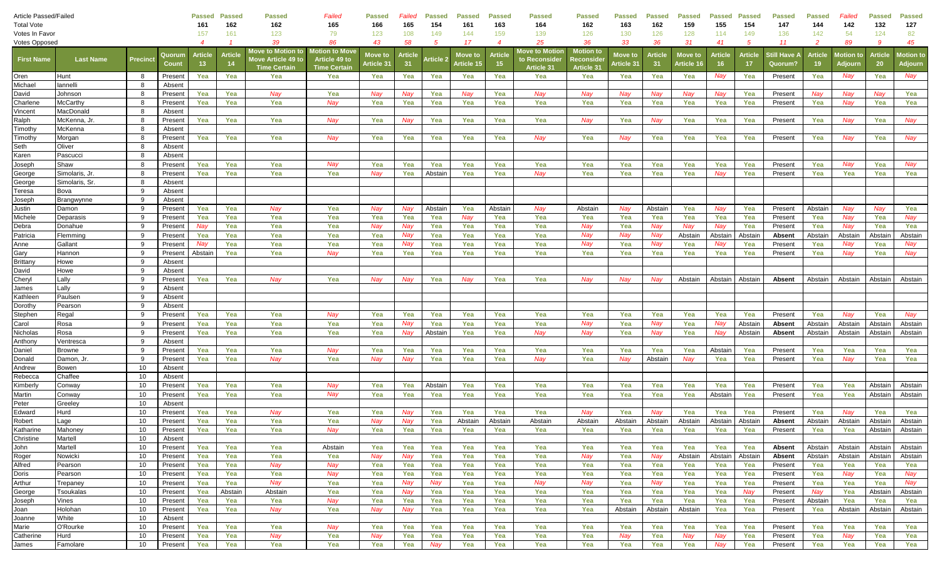| Article Passed/Failed |                     |          |                   | <b>Passed</b>                     | <b>Passed</b>         | Passed                                                                       | Failed                                                 | <b>Passed</b>         | Failed        | <b>Passed</b>    | <b>Passed</b>         | <b>Passed</b>            | <b>Passed</b>                                 | Passed                                                    | <b>Passed</b>                     | <b>Passed</b>        | <b>Passed</b>        | <b>Passed</b> | <b>Passed</b>      | Passed                         | <b>Passed</b>  | Failed               | <b>Passed</b>        | Passed                      |
|-----------------------|---------------------|----------|-------------------|-----------------------------------|-----------------------|------------------------------------------------------------------------------|--------------------------------------------------------|-----------------------|---------------|------------------|-----------------------|--------------------------|-----------------------------------------------|-----------------------------------------------------------|-----------------------------------|----------------------|----------------------|---------------|--------------------|--------------------------------|----------------|----------------------|----------------------|-----------------------------|
| <b>Total Vote</b>     |                     |          |                   | 161                               | 162                   | 162                                                                          | 165                                                    | 166                   | 165           | 154              | 161                   | 163                      | 164                                           | 162                                                       | 163                               | 162                  | 159                  | 155           | 154                | 147                            | 144            | 142                  | 132                  | 127                         |
| Votes In Favor        |                     |          |                   | 157                               | 161                   | 123                                                                          | 79                                                     | 123                   | 108           | 149              | 144                   | 159                      | 139                                           | 126                                                       | 130                               | 126                  | 128                  | 114           | 149                | 136                            | 142            | 54                   | 124                  | 82                          |
| <b>Votes Opposed</b>  |                     |          |                   | 4                                 |                       | 39                                                                           | 86                                                     | 43                    | 58            | 5                | 17                    | $\overline{\mathcal{A}}$ | 25                                            | 36                                                        | 33                                | 36                   | 31                   | 41            | -5                 | 11                             | 2              | 89                   | -9                   | 45                          |
| <b>First Name</b>     | <b>Last Name</b>    | Precinct | Quorun<br>Coun    | <b>Article</b><br>13 <sup>°</sup> | <b>Article</b><br>-14 | <b>Nove to Motio<u>n to</u></b><br>love Article 49 to<br><b>Time Certair</b> | Motion to Move<br>Article 49 to<br><b>Time Certain</b> | Move to<br>Article 31 | Article<br>31 | <b>Article</b> 2 | Move to<br>Article 15 | <b>Article</b><br>-15    | Move to Motion<br>to Reconsider<br>Article 31 | <b>Motion</b> to<br><b>leconside</b><br><b>Article 31</b> | Move to<br>Article 3 <sup>.</sup> | <b>Article</b><br>31 | Move to<br>Article 1 | Article       | Article<br>17      | Still Have <i>l</i><br>Quorum? | <b>Article</b> | lotion to<br>Adjourn | <b>Article</b><br>20 | <b>Motion to</b><br>Adjourn |
| Oren                  | Hunt                | - 8      | Present           | Yea                               | Yea                   | Yea                                                                          | Yea                                                    | Yea                   | Yea           | Yea              | Yea                   | Yea                      | Yea                                           | Yea                                                       | Yea                               | Yea                  | Yea                  | Nay           | Yea                | Present                        | Yea            | Nay                  | Yea                  | Nay                         |
| Michael               | annelli             | -8       | Absent            |                                   |                       |                                                                              |                                                        |                       |               |                  |                       |                          |                                               |                                                           |                                   |                      |                      |               |                    |                                |                |                      |                      |                             |
| David                 | Johnson             | 8        | Present           | Yea                               | Yea                   | Nay                                                                          | Yea                                                    | Nay                   | Nay           | Yea              | Nay                   | Yea                      | Nay                                           | Nay                                                       | Nay                               | Nay                  | Nay                  | Nay           | Yea                | Present                        | Nay            | Nay                  | Nay                  | Yea                         |
| Charlene              | McCarthy            | 8        | Presen            | Yea                               | Yea                   | Yea                                                                          | Nay                                                    | Yea                   | Yea           | Yea              | Yea                   | Yea                      | Yea                                           | Yea                                                       | Yea                               | Yea                  | Yea                  | Yea           | Yea                | Present                        | Yea            | Nay                  | Yea                  | Yea                         |
| Vincent               | MacDonald           | -8       | Absent            |                                   |                       |                                                                              |                                                        |                       |               |                  |                       |                          |                                               |                                                           |                                   |                      |                      |               |                    |                                |                |                      |                      |                             |
| Ralph                 | McKenna, Jr         | 8        | Presen            | Yea                               | Yea                   | Yea                                                                          | Nay                                                    | Yea                   | Nay           | Yea              | Yea                   | Yea                      | Yea                                           | Nay                                                       | Yea                               | Nay                  | Yea                  | Yea           | Yea                | Present                        | Yea            | Nay                  | Yea                  | Nay                         |
| Timothy               | McKenna             | 8        | Absent            |                                   |                       |                                                                              |                                                        |                       |               |                  |                       |                          |                                               |                                                           |                                   |                      |                      |               |                    |                                |                |                      |                      |                             |
| Timothy               | Morgan              | 8        | Present           | Yea                               | Yea                   | Yea                                                                          | Nay                                                    | Yea                   | Yea           | Yea              | Yea                   | Yea                      | Nay                                           | Yea                                                       | Nay                               | Yea                  | Yea                  | Yea           | Yea                | Present                        | Yea            | Nay                  | Yea                  | Nay                         |
| Seth                  | Oliver              | 8        | Absent            |                                   |                       |                                                                              |                                                        |                       |               |                  |                       |                          |                                               |                                                           |                                   |                      |                      |               |                    |                                |                |                      |                      |                             |
| Karen                 | Pascucci            | 8        | Absent            |                                   |                       |                                                                              |                                                        |                       |               |                  |                       |                          |                                               |                                                           |                                   |                      |                      |               |                    |                                |                |                      |                      |                             |
| Joseph                | Shaw                | 8        | Presen            | Yea                               | Yea                   | Yea                                                                          | Nay                                                    | Yea                   | Yea           | Yea              | Yea                   | Yea                      | Yea                                           | Yea                                                       | Yea                               | Yea                  | Yea                  | Yea           | Yea                | Present                        | Yea            | Nay                  | Yea                  | Nay                         |
| George                | Simolaris, Jr.      | 8        | Presen            | Yea                               | Yea                   | Yea                                                                          | Yea                                                    | Nay                   | Yea           | Abstair          | Yea                   | Yea                      | Nay                                           | Yea                                                       | Yea                               | Yea                  | Yea                  | Nay           | Yea                | Present                        | Yea            | Yea                  | Yea                  | Yea                         |
| George                | Simolaris, Sr       | 8        | Absent            |                                   |                       |                                                                              |                                                        |                       |               |                  |                       |                          |                                               |                                                           |                                   |                      |                      |               |                    |                                |                |                      |                      |                             |
| Teresa                | Bova                | 9        | Absent            |                                   |                       |                                                                              |                                                        |                       |               |                  |                       |                          |                                               |                                                           |                                   |                      |                      |               |                    |                                |                |                      |                      |                             |
| Joseph                | Brangwynne          | 9        | Absent            |                                   |                       |                                                                              |                                                        |                       |               |                  |                       |                          |                                               |                                                           |                                   |                      |                      |               |                    |                                |                |                      |                      |                             |
| Justin                | Damon               | -9       | Present           | Yea                               | Yea                   | Nay                                                                          | Yea                                                    | Nay                   | Nay           | Abstain          | Yea                   | Abstain                  | Nay                                           | Abstain                                                   | Nay                               | Abstain              | Yea                  | Nay           | Yea                | Present                        | Abstain        | Nay                  | Nay                  | Yea                         |
| Michele               | Deparasis           | 9        | Present           | Yea                               | Yea                   | Yea                                                                          | Yea                                                    | Yea                   | Yea           | Yea              | Nay                   | Yea                      | Yea                                           | Yea                                                       | Yea                               | Yea                  | Yea                  | Yea           | Yea                | Present                        | Yea            | Nay                  | Yea                  | Nay                         |
| Debra                 | Donahue             | -9       | Present           | Nay                               | Yea                   | Yea                                                                          | Yea                                                    | Nay                   | Nay           | Yea              | Yea                   | Yea                      | Yea                                           | Nay                                                       | Yea                               | Nay                  | Nay                  | Nav           | Yea                | Present                        | Yea            | Nay                  | Yea                  | Yea                         |
| Patricia              | Flemming            | -9       | Present           | Yea                               | Yea                   | Yea                                                                          | Yea                                                    | Yea                   | Nay           | Yea              | Yea                   | Yea                      | Yea                                           | Nay                                                       | Nay                               | Nay                  | Abstain              | Abstain       | Abstair            | Absent                         | Abstain        | Abstain              | Abstain              | Abstain                     |
| Anne                  | Gallant             | 9        | Present           | Nav                               | Yea                   | Yea                                                                          | Yea                                                    | Yea                   | Nay           | Yea              | Yea                   | Yea                      | Yea                                           | Nay                                                       | Yea                               | Nay                  | Yea                  | Nav           | Yea                | Present                        | Yea            | Nay                  | Yea                  | Nay                         |
| Gary                  | Hannon              | 9        | Present           | Abstain                           | Yea                   | Yea                                                                          | Nay                                                    | Yea                   | Yea           | Yea              | Yea                   | Yea                      | Yea                                           | Yea                                                       | Yea                               | Yea                  | Yea                  | Yea           | Yea                | Present                        | Yea            | Nay                  | Yea                  | Nav                         |
| Brittany              | Howe                | -9       | Absent            |                                   |                       |                                                                              |                                                        |                       |               |                  |                       |                          |                                               |                                                           |                                   |                      |                      |               |                    |                                |                |                      |                      |                             |
| David                 | Howe                | 9        | Absent            |                                   |                       |                                                                              |                                                        |                       |               |                  |                       |                          |                                               |                                                           |                                   |                      |                      |               |                    |                                |                |                      |                      |                             |
| Cheryl                | Lally               | 9        | Present           | Yea                               | Yea                   | Nay                                                                          | Yea                                                    | Nay                   | Nay           | Yea              | Nay                   | Yea                      | Yea                                           | Nay                                                       | Nay                               | Nay                  | Abstain              | Abstain       | Abstain            | Absent                         | Abstain        | Abstain              | Abstain              | Abstain                     |
| James                 | Lally               | -9       | Absent            |                                   |                       |                                                                              |                                                        |                       |               |                  |                       |                          |                                               |                                                           |                                   |                      |                      |               |                    |                                |                |                      |                      |                             |
| Kathleen              | Paulsen             | -9       | Absent            |                                   |                       |                                                                              |                                                        |                       |               |                  |                       |                          |                                               |                                                           |                                   |                      |                      |               |                    |                                |                |                      |                      |                             |
| Dorothy               | Pearson             | 9        | Absent            |                                   |                       |                                                                              |                                                        |                       |               |                  |                       |                          |                                               |                                                           |                                   |                      |                      |               |                    |                                |                |                      |                      |                             |
| Stephen               | Regal               | -9       | Present           | Yea                               | Yea                   | Yea                                                                          | Nay                                                    | Yea                   | Yea           | Yea              | Yea                   | Yea                      | Yea                                           | Yea                                                       | Yea                               | Yea                  | Yea                  | Yea           | Yea                | Present                        | Yea            | Nay                  | Yea                  | Nay                         |
| Carol                 | Rosa                | -9<br>9  | Presen            | Yea<br>Yea                        | Yea                   | Yea<br>Yea                                                                   | Yea<br>Yea                                             | Yea<br>Yea            | Nay           | Yea<br>Abstair   | Yea<br>Yea            | Yea                      | Yea                                           | Nay<br>Nay                                                | Yea                               | Nav                  | Yea<br>Yea           | Nav           | Abstair<br>Abstair | Absent                         | Abstain        | Abstain<br>Abstain   | Abstain<br>Abstain   | Abstain<br>Abstain          |
| Nicholas              | Rosa                | -9       | Presen            |                                   | Yea                   |                                                                              |                                                        |                       | Nay           |                  |                       | Yea                      | Nay                                           |                                                           | Yea                               | Nay                  |                      | ์ Na          |                    | Absent                         | Abstain        |                      |                      |                             |
| Anthony<br>Daniel     | /entresca<br>Browne | 9        | Absent<br>Present | Yea                               | Yea                   | Yea                                                                          | Nay                                                    | Yea                   | Yea           | Yea              | Yea                   | Yea                      | Yea                                           | Yea                                                       | Yea                               | Yea                  | Yea                  | Abstain       | Yea                | Present                        | Yea            | Yea                  | Yea                  | Yea                         |
| Donald                | Damon, Jr           | 9        | Present           | Yea                               | Yea                   | Nay                                                                          | Yea                                                    | Nay                   | Nay           | Yea              | Yea                   | Yea                      | Nay                                           | Yea                                                       | Nay                               | Abstain              | Nay                  | Yea           | Yea                | Present                        | Yea            | Nay                  | Yea                  | Yea                         |
| Andrew                | Bowen               | 10       | Absent            |                                   |                       |                                                                              |                                                        |                       |               |                  |                       |                          |                                               |                                                           |                                   |                      |                      |               |                    |                                |                |                      |                      |                             |
| Rebecca               | Chaffee             | 10       | Absent            |                                   |                       |                                                                              |                                                        |                       |               |                  |                       |                          |                                               |                                                           |                                   |                      |                      |               |                    |                                |                |                      |                      |                             |
| Kimberly              | Conwa∖              | 10       | Present           | Yea                               | Yea                   | Yea                                                                          | Nay                                                    | Yea                   | Yea           | Abstair          | Yea                   | Yea                      | Yea                                           | Yea                                                       | Yea                               | Yea                  | Yea                  | Yea           | Yea                | Present                        | Yea            | Yea                  | Abstain              | Abstain                     |
| Martin                | Conwa∖              | 10       | Present           | Yea                               | Yea                   | Yea                                                                          | Nay                                                    | Yea                   | Yea           | Yea              | Yea                   | Yea                      | Yea                                           | Yea                                                       | Yea                               | Yea                  | Yea                  | Abstain       | Yea                | Present                        | Yea            | Yea                  | Abstain              | Abstain                     |
| Peter                 | Greeley             | 10       | Absent            |                                   |                       |                                                                              |                                                        |                       |               |                  |                       |                          |                                               |                                                           |                                   |                      |                      |               |                    |                                |                |                      |                      |                             |
| Edward                | Hurd                | 10       | Present           | Yea                               | Yea                   | Nay                                                                          | Yea                                                    | Yea                   | Nay           | Yea              | Yea                   | Yea                      | Yea                                           | Nav                                                       | Yea                               | Nav                  | Yea                  | Yea           | Yea                | Present                        | Yea            | Nay                  | Yea                  | Yea                         |
| Robert                | Lage                | 10       | Present           | Yea                               | Yea                   | Yea                                                                          | Yea                                                    | Nav                   | Nay           | Yea              | Abstain               | Abstain                  | Abstain                                       | Abstain                                                   | Abstain                           | Abstain              | Abstain              | Abstain       | Abstain            | Absent                         | Abstain        | Abstain              | Abstain              | Abstain                     |
| Katharine             | Mahoney             | 10       | Present           | Yea                               | Yea                   | Yea                                                                          | Nay                                                    | Yea                   | Yea           | Yea              | Yea                   | Yea                      | Yea                                           | Yea                                                       | Yea                               | Yea                  | Yea                  | Yea           | Yea                | Present                        | Yea            | Yea                  | Abstain              | Abstain                     |
| Christine             | Martell             | 10       | Absent            |                                   |                       |                                                                              |                                                        |                       |               |                  |                       |                          |                                               |                                                           |                                   |                      |                      |               |                    |                                |                |                      |                      |                             |
| John                  | Martell             | 10       | Present           | Yea                               | Yea                   | Yea                                                                          | Abstain                                                | Yea                   | Yea           | Yea              | Yea                   | Yea                      | Yea                                           | Yea                                                       | Yea                               | Yea                  | Yea                  | Yea           | Yea                | Absent                         | Abstain        | Abstain              | Abstain              | Abstain                     |
| Roger                 | Nowicki             | 10       | Present           | Yea                               | Yea                   | Yea                                                                          | Yea                                                    | Nay                   | Nay           | Yea              | Yea                   | Yea                      | Yea                                           | Nay                                                       | Yea                               | Nay                  | Abstain              | Abstain       | Abstain            | Absent                         | Abstain        | Abstain              | Abstain              | Abstain                     |
| Alfred                | Pearson             | 10       | Present           | Yea                               | Yea                   | Nay                                                                          | Nay                                                    | Yea                   | Yea           | Yea              | Yea                   | Yea                      | Yea                                           | Yea                                                       | Yea                               | Yea                  | Yea                  | Yea           | Yea                | Present                        | Yea            | Yea                  | Yea                  | Yea                         |
| Doris                 | Pearson             | 10       | Present           | Yea                               | Yea                   | Yea                                                                          | Nay                                                    | Yea                   | Yea           | Yea              | Yea                   | Yea                      | Yea                                           | Yea                                                       | Yea                               | Yea                  | Yea                  | Yea           | Yea                | Present                        | Yea            | Nav                  | Yea                  | Nav                         |
| Arthur                | Trepaney            | 10       | Present           | Yea                               | Yea                   | Nay                                                                          | Yea                                                    | Yea                   | Nay           | Nay              | Yea                   | Yea                      | Nay                                           | Nay                                                       | Yea                               | Nay                  | Yea                  | Yea           | Yea                | Present                        | Yea            | Yea                  | Yea                  | Nav                         |
| George                | Tsoukalas           | 10       | Present           | Yea                               | Abstain               | Abstain                                                                      | Yea                                                    | Yea                   | Nay           | Yea              | Yea                   | Yea                      | Yea                                           | Yea                                                       | Yea                               | Yea                  | Yea                  | Yea           | Nay                | Present                        | Nay            | Yea                  | Abstain              | Abstain                     |
| Joseph                | Vines               | 10       | Present           | Yea                               | Yea                   | Yea                                                                          | Nay                                                    | Yea                   | Yea           | Yea              | Yea                   | Yea                      | Yea                                           | Yea                                                       | Yea                               | Yea                  | Yea                  | Yea           | Yea                | Present                        | Abstain        | Yea                  | Yea                  | Yea                         |
| Joan                  | Holohan             | 10       | Present           | Yea                               | Yea                   | Nay                                                                          | Yea                                                    | Nay                   | Nay           | Yea              | Yea                   | Yea                      | Yea                                           | Yea                                                       | Abstain                           | Abstain              | Abstain              | Yea           | Yea                | Present                        | Yea            | Abstain              | Abstain              | Abstain                     |
| Joanne                | White               | 10       | Absent            |                                   |                       |                                                                              |                                                        |                       |               |                  |                       |                          |                                               |                                                           |                                   |                      |                      |               |                    |                                |                |                      |                      |                             |
| Marie                 | O'Rourke            | 10       | Present           | Yea                               | Yea                   | Yea                                                                          | Nay                                                    | Yea                   | Yea           | Yea              | Yea                   | Yea                      | Yea                                           | Yea                                                       | Yea                               | Yea                  | Yea                  | Yea           | Yea                | Present                        | Yea            | Yea                  | Yea                  | Yea                         |
| Catherine             | Hurd                | 10       | Present           | Yea                               | Yea                   | Nay                                                                          | Yea                                                    | Nay                   | Yea           | Yea              | Yea                   | Yea                      | Yea                                           | Yea                                                       | Nay                               | Yea                  | Nay                  | Nay           | Yea                | Present                        | Yea            | Nay                  | Yea                  | Yea                         |
| James                 | Famolare            | 10       | Present           | Yea                               | Yea                   | Yea                                                                          | Yea                                                    | Yea                   | Yea           | Nay              | Yea                   | Yea                      | Yea                                           | Yea                                                       | Yea                               | Yea                  | Yea                  | Nay           | Yea                | Present                        | Yea            | Yea                  | Yea                  | Yea                         |